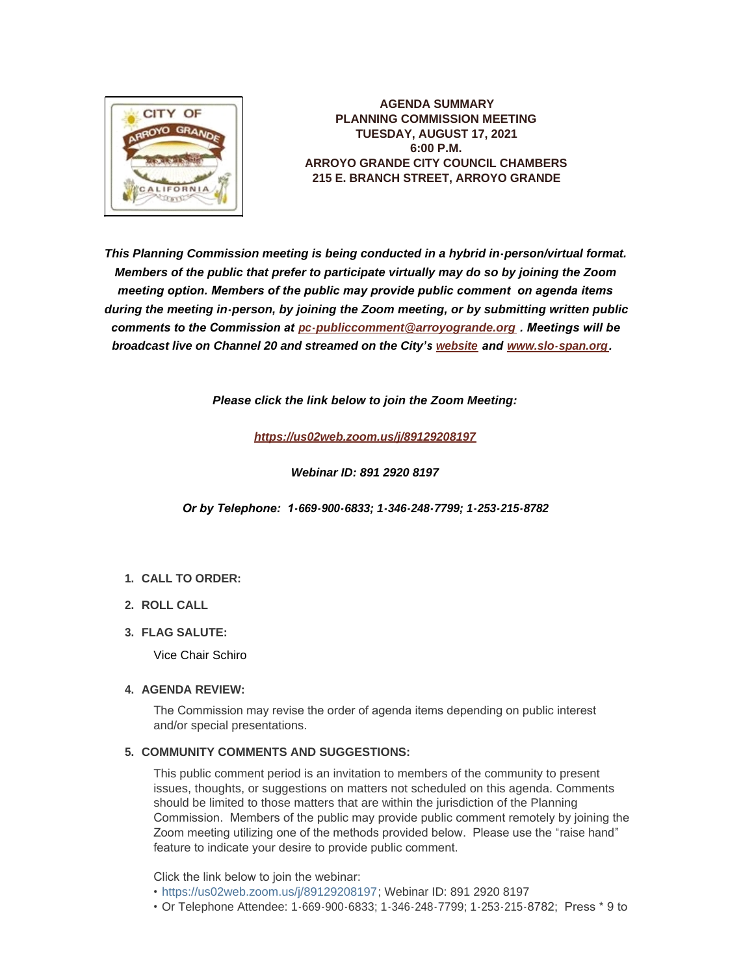

**AGENDA SUMMARY PLANNING COMMISSION MEETING TUESDAY, AUGUST 17, 2021 6:00 P.M. ARROYO GRANDE CITY COUNCIL CHAMBERS 215 E. BRANCH STREET, ARROYO GRANDE**

*This Planning Commission meeting is being conducted in a hybrid in-person/virtual format. Members of the public that prefer to participate virtually may do so by joining the Zoom meeting option. Members of the public may provide public comment on agenda items during the meeting in-person, by joining the Zoom meeting, or by submitting written public comments to the Commission at [pc-publiccomment@arroyogrande.org](mailto:pc-publiccomment@arroyogrande.org) . Meetings will be broadcast live on Channel 20 and streamed on the City's [website](http://www.arroyogrande.org/631/Govt-Access-TV---Channel-20) and [www.slo-span.org](https://cal-span.org/unipage/index.php?site=slo-span&channel=2&site=slo-span&channel=2).* 

*Please click the link below to join the Zoom Meeting:*

*<https://us02web.zoom.us/j/89129208197>*

*Webinar ID: 891 2920 8197*

*Or by Telephone: 1-669-900-6833; 1-346-248-7799; 1-253-215-8782*

# **CALL TO ORDER: 1.**

- **ROLL CALL 2.**
- **FLAG SALUTE: 3.**

Vice Chair Schiro

# **AGENDA REVIEW: 4.**

The Commission may revise the order of agenda items depending on public interest and/or special presentations.

# **COMMUNITY COMMENTS AND SUGGESTIONS: 5.**

This public comment period is an invitation to members of the community to present issues, thoughts, or suggestions on matters not scheduled on this agenda. Comments should be limited to those matters that are within the jurisdiction of the Planning Commission. Members of the public may provide public comment remotely by joining the Zoom meeting utilizing one of the methods provided below. Please use the "raise hand" feature to indicate your desire to provide public comment.

Click the link below to join the webinar:

- <https://us02web.zoom.us/j/89129208197>; Webinar ID: 891 2920 8197
- Or Telephone Attendee: 1-669-900-6833; 1-346-248-7799; 1-253-215-8782; Press \* 9 to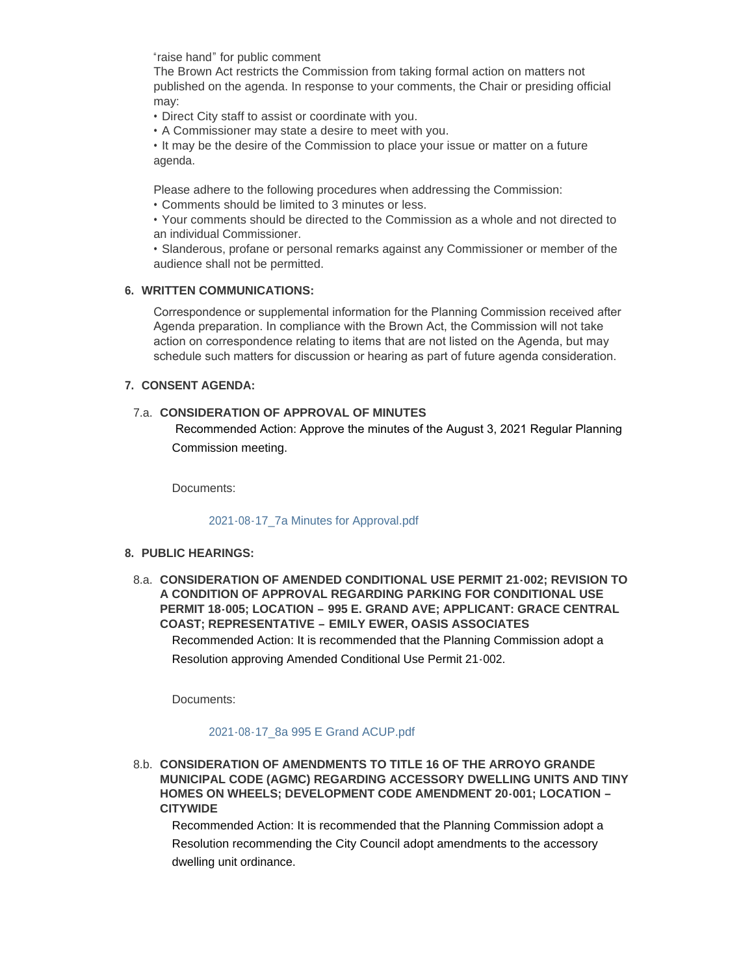"raise hand" for public comment

The Brown Act restricts the Commission from taking formal action on matters not published on the agenda. In response to your comments, the Chair or presiding official may:

• Direct City staff to assist or coordinate with you.

• A Commissioner may state a desire to meet with you.

• It may be the desire of the Commission to place your issue or matter on a future agenda.

Please adhere to the following procedures when addressing the Commission:

• Comments should be limited to 3 minutes or less.

• Your comments should be directed to the Commission as a whole and not directed to an individual Commissioner.

• Slanderous, profane or personal remarks against any Commissioner or member of the audience shall not be permitted.

# **WRITTEN COMMUNICATIONS: 6.**

Correspondence or supplemental information for the Planning Commission received after Agenda preparation. In compliance with the Brown Act, the Commission will not take action on correspondence relating to items that are not listed on the Agenda, but may schedule such matters for discussion or hearing as part of future agenda consideration.

# **CONSENT AGENDA: 7.**

# **CONSIDERATION OF APPROVAL OF MINUTES**  7.a.

 Recommended Action: Approve the minutes of the August 3, 2021 Regular Planning Commission meeting.

Documents:

## [2021-08-17\\_7a Minutes for Approval.pdf](http://www.arroyogrande.org/AgendaCenter/ViewFile/Item/11370?fileID=17393)

# **PUBLIC HEARINGS: 8.**

**CONSIDERATION OF AMENDED CONDITIONAL USE PERMIT 21-002; REVISION TO**  8.a. **A CONDITION OF APPROVAL REGARDING PARKING FOR CONDITIONAL USE PERMIT 18-005; LOCATION – 995 E. GRAND AVE; APPLICANT: GRACE CENTRAL COAST; REPRESENTATIVE – EMILY EWER, OASIS ASSOCIATES**

Recommended Action: It is recommended that the Planning Commission adopt a Resolution approving Amended Conditional Use Permit 21-002.

Documents:

# [2021-08-17\\_8a 995 E Grand ACUP.pdf](http://www.arroyogrande.org/AgendaCenter/ViewFile/Item/11371?fileID=17394)

**CONSIDERATION OF AMENDMENTS TO TITLE 16 OF THE ARROYO GRANDE**  8.b. **MUNICIPAL CODE (AGMC) REGARDING ACCESSORY DWELLING UNITS AND TINY HOMES ON WHEELS; DEVELOPMENT CODE AMENDMENT 20-001; LOCATION – CITYWIDE** 

Recommended Action: It is recommended that the Planning Commission adopt a Resolution recommending the City Council adopt amendments to the accessory dwelling unit ordinance.